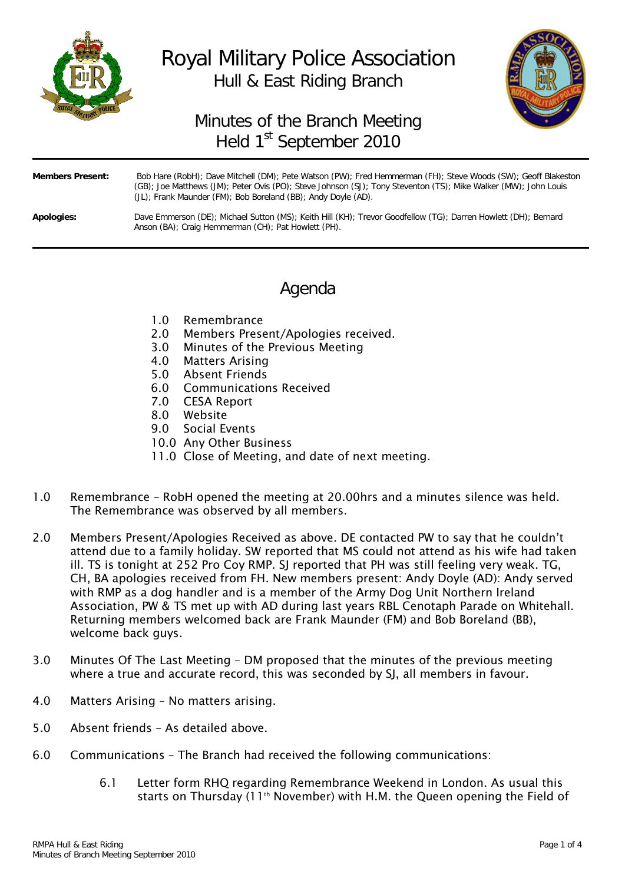

# Royal Military Police Association Hull & East Riding Branch



## Minutes of the Branch Meeting Held 1<sup>st</sup> September 2010

| <b>Members Present:</b> | Bob Hare (RobH); Dave Mitchell (DM); Pete Watson (PW); Fred Hemmerman (FH); Steve Woods (SW); Geoff Blakeston<br>(GB); Joe Matthews (JM); Peter Ovis (PO); Steve Johnson (SJ); Tony Steventon (TS); Mike Walker (MW); John Louis<br>(JL); Frank Maunder (FM); Bob Boreland (BB); Andy Doyle (AD). |
|-------------------------|---------------------------------------------------------------------------------------------------------------------------------------------------------------------------------------------------------------------------------------------------------------------------------------------------|
| Apologies:              | Dave Emmerson (DE); Michael Sutton (MS); Keith Hill (KH); Trevor Goodfellow (TG); Darren Howlett (DH); Bernard<br>Anson (BA); Craig Hemmerman (CH); Pat Howlett (PH).                                                                                                                             |

### Agenda

- 1.0 Remembrance
- 2.0 Members Present/Apologies received.
- 3.0 Minutes of the Previous Meeting
- 4.0 Matters Arising
- 5.0 Absent Friends
- 6.0 Communications Received
- 7.0 CESA Report
- 8.0 Website
- 9.0 Social Events
- 10.0 Any Other Business
- 11.0 Close of Meeting, and date of next meeting.
- 1.0 Remembrance RobH opened the meeting at 20.00hrs and a minutes silence was held. The Remembrance was observed by all members.
- 2.0 Members Present/Apologies Received as above. DE contacted PW to say that he couldn't attend due to a family holiday. SW reported that MS could not attend as his wife had taken ill. TS is tonight at 252 Pro Coy RMP. SJ reported that PH was still feeling very weak. TG, CH, BA apologies received from FH. New members present: Andy Doyle (AD): Andy served with RMP as a dog handler and is a member of the Army Dog Unit Northern Ireland Association, PW & TS met up with AD during last years RBL Cenotaph Parade on Whitehall. Returning members welcomed back are Frank Maunder (FM) and Bob Boreland (BB), welcome back guys.
- 3.0 Minutes Of The Last Meeting DM proposed that the minutes of the previous meeting where a true and accurate record, this was seconded by SI, all members in favour.
- 4.0 Matters Arising No matters arising.
- 5.0 Absent friends As detailed above.
- 6.0 Communications The Branch had received the following communications:
	- 6.1 Letter form RHQ regarding Remembrance Weekend in London. As usual this starts on Thursday (11<sup>th</sup> November) with H.M. the Queen opening the Field of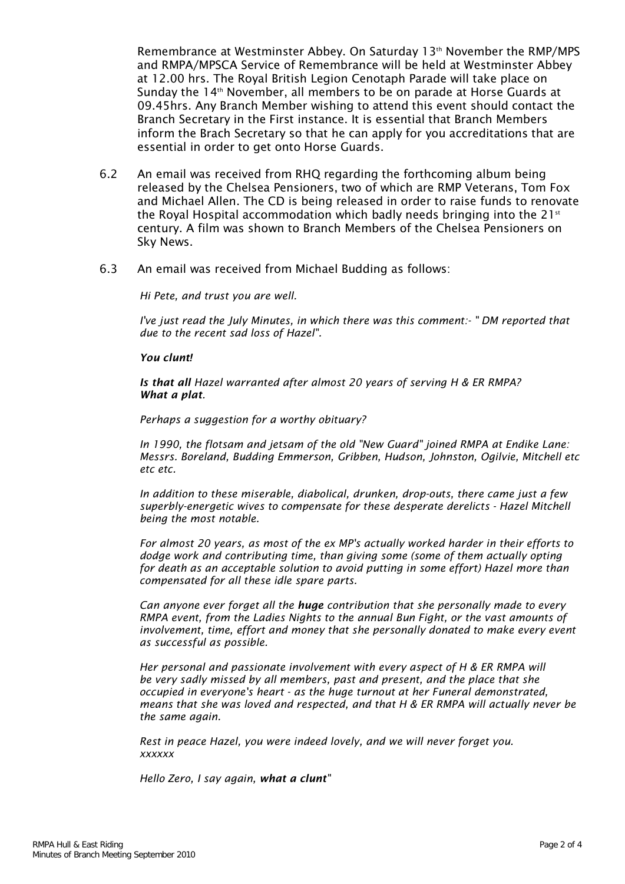Remembrance at Westminster Abbey. On Saturday 13<sup>th</sup> November the RMP/MPS and RMPA/MPSCA Service of Remembrance will be held at Westminster Abbey at 12.00 hrs. The Royal British Legion Cenotaph Parade will take place on Sunday the  $14<sup>th</sup>$  November, all members to be on parade at Horse Guards at 09.45hrs. Any Branch Member wishing to attend this event should contact the Branch Secretary in the First instance. It is essential that Branch Members inform the Brach Secretary so that he can apply for you accreditations that are essential in order to get onto Horse Guards.

- 6.2 An email was received from RHQ regarding the forthcoming album being released by the Chelsea Pensioners, two of which are RMP Veterans, Tom Fox and Michael Allen. The CD is being released in order to raise funds to renovate the Royal Hospital accommodation which badly needs bringing into the 21 $\mathrm{^{st}}$ century. A film was shown to Branch Members of the Chelsea Pensioners on Sky News.
- 6.3 An email was received from Michael Budding as follows:

*Hi Pete, and trust you are well.*

*I've just read the July Minutes, in which there was this comment:- " DM reported that due to the recent sad loss of Hazel".*

#### *You clunt!*

*Is that all Hazel warranted after almost 20 years of serving H & ER RMPA? What a plat.* 

*Perhaps a suggestion for a worthy obituary?*

*In 1990, the flotsam and jetsam of the old "New Guard" joined RMPA at Endike Lane: Messrs. Boreland, Budding Emmerson, Gribben, Hudson, Johnston, Ogilvie, Mitchell etc etc etc.*

*In addition to these miserable, diabolical, drunken, drop-outs, there came just a few superbly-energetic wives to compensate for these desperate derelicts - Hazel Mitchell being the most notable.*

*For almost 20 years, as most of the ex MP's actually worked harder in their efforts to dodge work and contributing time, than giving some (some of them actually opting for death as an acceptable solution to avoid putting in some effort) Hazel more than compensated for all these idle spare parts.*

*Can anyone ever forget all the huge contribution that she personally made to every RMPA event, from the Ladies Nights to the annual Bun Fight, or the vast amounts of involvement, time, effort and money that she personally donated to make every event as successful as possible.* 

*Her personal and passionate involvement with every aspect of H & ER RMPA will be very sadly missed by all members, past and present, and the place that she occupied in everyone's heart - as the huge turnout at her Funeral demonstrated, means that she was loved and respected, and that H & ER RMPA will actually never be the same again.*

*Rest in peace Hazel, you were indeed lovely, and we will never forget you. xxxxxx* 

*Hello Zero, I say again, what a clunt"*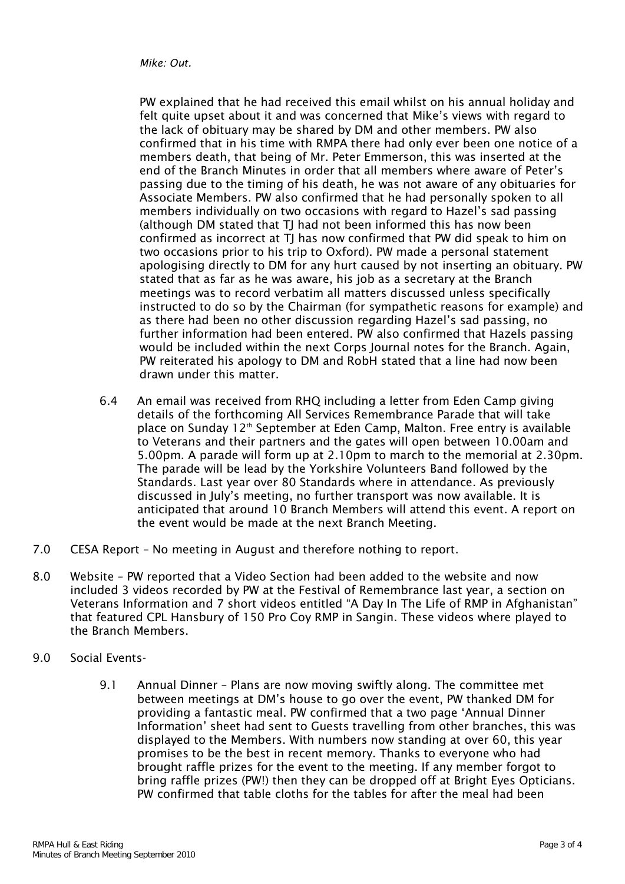*Mike: Out.*

PW explained that he had received this email whilst on his annual holiday and felt quite upset about it and was concerned that Mike's views with regard to the lack of obituary may be shared by DM and other members. PW also confirmed that in his time with RMPA there had only ever been one notice of a members death, that being of Mr. Peter Emmerson, this was inserted at the end of the Branch Minutes in order that all members where aware of Peter's passing due to the timing of his death, he was not aware of any obituaries for Associate Members. PW also confirmed that he had personally spoken to all members individually on two occasions with regard to Hazel's sad passing (although DM stated that TJ had not been informed this has now been confirmed as incorrect at TJ has now confirmed that PW did speak to him on two occasions prior to his trip to Oxford). PW made a personal statement apologising directly to DM for any hurt caused by not inserting an obituary. PW stated that as far as he was aware, his job as a secretary at the Branch meetings was to record verbatim all matters discussed unless specifically instructed to do so by the Chairman (for sympathetic reasons for example) and as there had been no other discussion regarding Hazel's sad passing, no further information had been entered. PW also confirmed that Hazels passing would be included within the next Corps Journal notes for the Branch. Again, PW reiterated his apology to DM and RobH stated that a line had now been drawn under this matter.

- 6.4 An email was received from RHQ including a letter from Eden Camp giving details of the forthcoming All Services Remembrance Parade that will take place on Sunday 12<sup>th</sup> September at Eden Camp, Malton. Free entry is available to Veterans and their partners and the gates will open between 10.00am and 5.00pm. A parade will form up at 2.10pm to march to the memorial at 2.30pm. The parade will be lead by the Yorkshire Volunteers Band followed by the Standards. Last year over 80 Standards where in attendance. As previously discussed in July's meeting, no further transport was now available. It is anticipated that around 10 Branch Members will attend this event. A report on the event would be made at the next Branch Meeting.
- 7.0 CESA Report No meeting in August and therefore nothing to report.
- 8.0 Website PW reported that a Video Section had been added to the website and now included 3 videos recorded by PW at the Festival of Remembrance last year, a section on Veterans Information and 7 short videos entitled "A Day In The Life of RMP in Afghanistan" that featured CPL Hansbury of 150 Pro Coy RMP in Sangin. These videos where played to the Branch Members.
- 9.0 Social Events-
	- 9.1 Annual Dinner Plans are now moving swiftly along. The committee met between meetings at DM's house to go over the event, PW thanked DM for providing a fantastic meal. PW confirmed that a two page 'Annual Dinner Information' sheet had sent to Guests travelling from other branches, this was displayed to the Members. With numbers now standing at over 60, this year promises to be the best in recent memory. Thanks to everyone who had brought raffle prizes for the event to the meeting. If any member forgot to bring raffle prizes (PW!) then they can be dropped off at Bright Eyes Opticians. PW confirmed that table cloths for the tables for after the meal had been